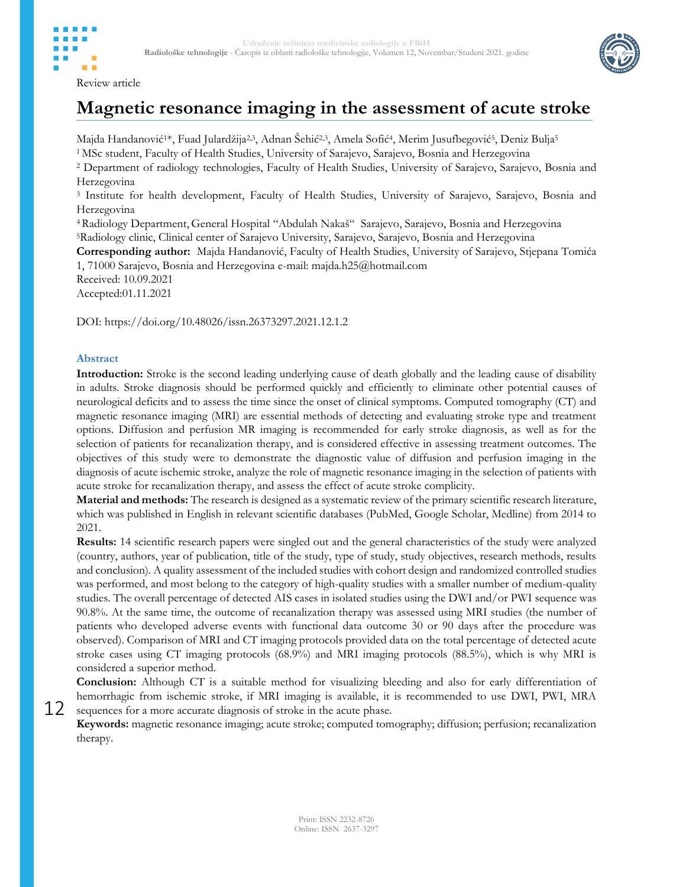



# **Magnetic resonance imaging in the assessment of acute stroke**

Majda Handanović<sup>1</sup>\*, Fuad Julardžija<sup>2,3</sup>, Adnan Šehić<sup>2,3</sup>, Amela Sofić<sup>4</sup>, Merim Jusufbegović<sup>5</sup>, Deniz Bulja<sup>5</sup>

<sup>1</sup> MSc student, Faculty of Health Studies, University of Sarajevo, Sarajevo, Bosnia and Herzegovina

<sup>2</sup> Department of radiology technologies, Faculty of Health Studies, University of Sarajevo, Sarajevo, Bosnia and Herzegovina

<sup>3</sup> Institute for health development, Faculty of Health Studies, University of Sarajevo, Sarajevo, Bosnia and Herzegovina

<sup>4</sup> Radiology Department, General Hospital "Abdulah Nakaš" Sarajevo, Sarajevo, Bosnia and Herzegovina <sup>5</sup>Radiology clinic, Clinical center of Sarajevo University, Sarajevo, Sarajevo, Bosnia and Herzegovina

**Corresponding author:** Majda Handanović, Faculty of Health Studies, University of Sarajevo, Stjepana Tomića 1, 71000 Sarajevo, Bosnia and Herzegovina e-mail: majda.h25@hotmail.com

Received: 10.09.2021 Accepted:01.11.2021

DOI: https://doi.org/10.48026/issn.26373297.2021.12.1.2

### **Abstract**

12

**Introduction:** Stroke is the second leading underlying cause of death globally and the leading cause of disability in adults. Stroke diagnosis should be performed quickly and efficiently to eliminate other potential causes of neurological deficits and to assess the time since the onset of clinical symptoms. Computed tomography (CT) and magnetic resonance imaging (MRI) are essential methods of detecting and evaluating stroke type and treatment options. Diffusion and perfusion MR imaging is recommended for early stroke diagnosis, as well as for the selection of patients for recanalization therapy, and is considered effective in assessing treatment outcomes. The objectives of this study were to demonstrate the diagnostic value of diffusion and perfusion imaging in the diagnosis of acute ischemic stroke, analyze the role of magnetic resonance imaging in the selection of patients with acute stroke for recanalization therapy, and assess the effect of acute stroke complicity.

**Material and methods:** The research is designed as a systematic review of the primary scientific research literature, which was published in English in relevant scientific databases (PubMed, Google Scholar, Medline) from 2014 to 2021.

**Results:** 14 scientific research papers were singled out and the general characteristics of the study were analyzed (country, authors, year of publication, title of the study, type of study, study objectives, research methods, results and conclusion). A quality assessment of the included studies with cohort design and randomized controlled studies was performed, and most belong to the category of high-quality studies with a smaller number of medium-quality studies. The overall percentage of detected AIS cases in isolated studies using the DWI and/or PWI sequence was 90.8%. At the same time, the outcome of recanalization therapy was assessed using MRI studies (the number of patients who developed adverse events with functional data outcome 30 or 90 days after the procedure was observed). Comparison of MRI and CT imaging protocols provided data on the total percentage of detected acute stroke cases using CT imaging protocols (68.9%) and MRI imaging protocols (88.5%), which is why MRI is considered a superior method.

**Conclusion:** Although CT is a suitable method for visualizing bleeding and also for early differentiation of hemorrhagic from ischemic stroke, if MRI imaging is available, it is recommended to use DWI, PWI, MRA sequences for a more accurate diagnosis of stroke in the acute phase.

**Keywords:** magnetic resonance imaging; acute stroke; computed tomography; diffusion; perfusion; recanalization therapy.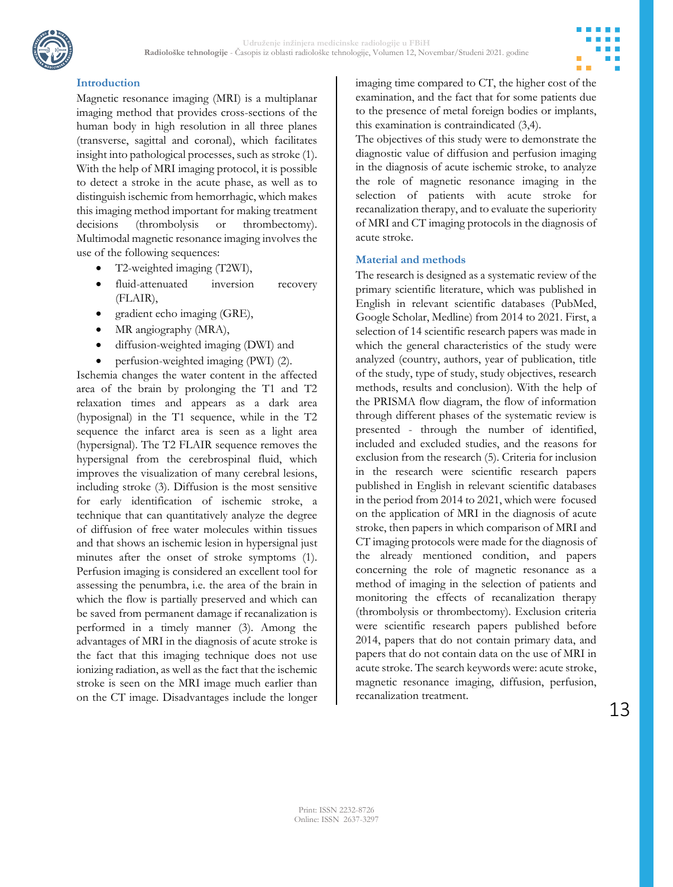

## **Introduction**

Magnetic resonance imaging (MRI) is a multiplanar imaging method that provides cross-sections of the human body in high resolution in all three planes (transverse, sagittal and coronal), which facilitates insight into pathological processes, such as stroke (1). With the help of MRI imaging protocol, it is possible to detect a stroke in the acute phase, as well as to distinguish ischemic from hemorrhagic, which makes this imaging method important for making treatment decisions (thrombolysis or thrombectomy). Multimodal magnetic resonance imaging involves the use of the following sequences:

- T2-weighted imaging (T2WI),
- fluid-attenuated inversion recovery (FLAIR),
- gradient echo imaging (GRE),
- MR angiography (MRA),
- diffusion-weighted imaging (DWI) and
- perfusion-weighted imaging (PWI) (2).

Ischemia changes the water content in the affected area of the brain by prolonging the T1 and T2 relaxation times and appears as a dark area (hyposignal) in the T1 sequence, while in the T2 sequence the infarct area is seen as a light area (hypersignal). The T2 FLAIR sequence removes the hypersignal from the cerebrospinal fluid, which improves the visualization of many cerebral lesions, including stroke (3). Diffusion is the most sensitive for early identification of ischemic stroke, a technique that can quantitatively analyze the degree of diffusion of free water molecules within tissues and that shows an ischemic lesion in hypersignal just minutes after the onset of stroke symptoms (1). Perfusion imaging is considered an excellent tool for assessing the penumbra, i.e. the area of the brain in which the flow is partially preserved and which can be saved from permanent damage if recanalization is performed in a timely manner (3). Among the advantages of MRI in the diagnosis of acute stroke is the fact that this imaging technique does not use ionizing radiation, as well as the fact that the ischemic stroke is seen on the MRI image much earlier than on the CT image. Disadvantages include the longer

imaging time compared to CT, the higher cost of the examination, and the fact that for some patients due to the presence of metal foreign bodies or implants, this examination is contraindicated (3,4).

The objectives of this study were to demonstrate the diagnostic value of diffusion and perfusion imaging in the diagnosis of acute ischemic stroke, to analyze the role of magnetic resonance imaging in the selection of patients with acute stroke for recanalization therapy, and to evaluate the superiority of MRI and CT imaging protocols in the diagnosis of acute stroke.

#### **Material and methods**

The research is designed as a systematic review of the primary scientific literature, which was published in English in relevant scientific databases (PubMed, Google Scholar, Medline) from 2014 to 2021. First, a selection of 14 scientific research papers was made in which the general characteristics of the study were analyzed (country, authors, year of publication, title of the study, type of study, study objectives, research methods, results and conclusion). With the help of the PRISMA flow diagram, the flow of information through different phases of the systematic review is presented - through the number of identified, included and excluded studies, and the reasons for exclusion from the research (5). Criteria for inclusion in the research were scientific research papers published in English in relevant scientific databases in the period from 2014 to 2021, which were focused on the application of MRI in the diagnosis of acute stroke, then papers in which comparison of MRI and CT imaging protocols were made for the diagnosis of the already mentioned condition, and papers concerning the role of magnetic resonance as a method of imaging in the selection of patients and monitoring the effects of recanalization therapy (thrombolysis or thrombectomy). Exclusion criteria were scientific research papers published before 2014, papers that do not contain primary data, and papers that do not contain data on the use of MRI in acute stroke. The search keywords were: acute stroke, magnetic resonance imaging, diffusion, perfusion, recanalization treatment.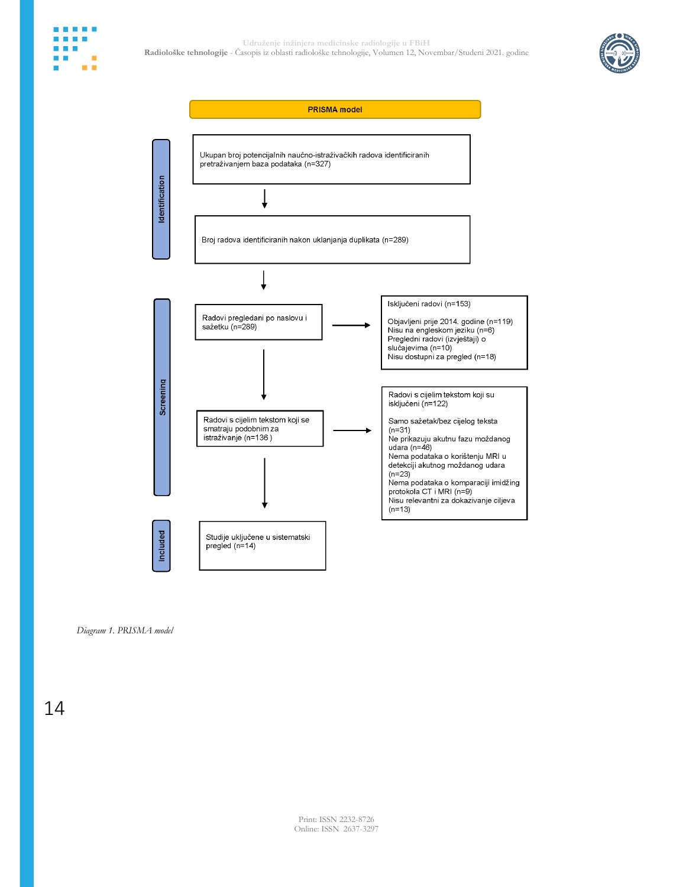



*Diagram 1. PRISMA model*

14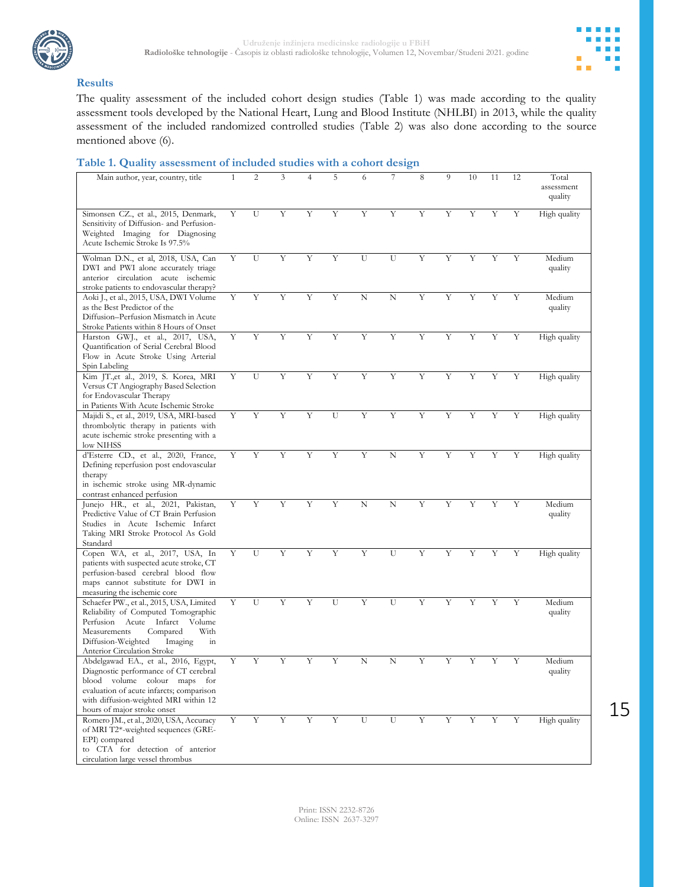



#### **Results**

The quality assessment of the included cohort design studies (Table 1) was made according to the quality assessment tools developed by the National Heart, Lung and Blood Institute (NHLBI) in 2013, while the quality assessment of the included randomized controlled studies (Table 2) was also done according to the source mentioned above (6).

#### **Table 1. Quality assessment of included studies with a cohort design**

| Main author, year, country, title                                                                                                                                                                                                 | $\mathbf{1}$ | $\overline{c}$ | 3           | 4           | 5 | 6                       | 7           | 8           | 9              | 10 | 11 | 12 | Total<br>assessment<br>quality |
|-----------------------------------------------------------------------------------------------------------------------------------------------------------------------------------------------------------------------------------|--------------|----------------|-------------|-------------|---|-------------------------|-------------|-------------|----------------|----|----|----|--------------------------------|
| Simonsen CZ., et al., 2015, Denmark,<br>Sensitivity of Diffusion- and Perfusion-<br>Weighted Imaging for Diagnosing<br>Acute Ischemic Stroke Is 97.5%                                                                             | Y            | $\overline{U}$ | Y           | Y           | Y | Y                       | Y           | Y           | $\overline{Y}$ | Y  | Y  | Y  | High quality                   |
| Wolman D.N., et al, 2018, USA, Can<br>DWI and PWI alone accurately triage<br>anterior circulation acute ischemic<br>stroke patients to endovascular therapy?                                                                      | Y            | U              | Y           | Y           | Y | U                       | U           | Y           | Y              | Y  | Y  | Y  | Medium<br>quality              |
| Aoki J., et al., 2015, USA, DWI Volume<br>as the Best Predictor of the<br>Diffusion-Perfusion Mismatch in Acute<br>Stroke Patients within 8 Hours of Onset                                                                        | Y            | Y              | Y           | $\mathbf Y$ | Y | $\mathbf N$             | $\mathbf N$ | Y           | Y              | Y  | Y  | Y  | Medium<br>quality              |
| Harston GWJ., et al., 2017, USA,<br>Quantification of Serial Cerebral Blood<br>Flow in Acute Stroke Using Arterial<br>Spin Labeling                                                                                               | Y            | $\overline{Y}$ | Y           | Y           | Y | Υ                       | Y           | Y           | Y              | Υ  | Υ  | Υ  | High quality                   |
| Kim JT.,et al., 2019, S. Korea, MRI<br>Versus CT Angiography Based Selection<br>for Endovascular Therapy<br>in Patients With Acute Ischemic Stroke                                                                                | Y            | U              | Y           | Y           | Y | $\overline{\mathbf{Y}}$ | Y           | Y           | Y              | Y  | Υ  | Y  | High quality                   |
| Majidi S., et al., 2019, USA, MRI-based<br>thrombolytic therapy in patients with<br>acute ischemic stroke presenting with a<br>low NIHSS                                                                                          | Υ            | $\overline{Y}$ | Y           | Y           | U | Υ                       | Y           | Y           | Y              | Y  | Υ  | Y  | High quality                   |
| d'Esterre CD., et al., 2020, France,<br>Defining reperfusion post endovascular<br>therapy<br>in ischemic stroke using MR-dynamic<br>contrast enhanced perfusion                                                                   | Y            | $\overline{Y}$ | Y           | Y           | Y | Y                       | N           | Y           | Y              | Y  | Υ  | Y  | High quality                   |
| Junejo HR., et al., 2021, Pakistan,<br>Predictive Value of CT Brain Perfusion<br>Studies in Acute Ischemic Infarct<br>Taking MRI Stroke Protocol As Gold<br>Standard                                                              | Y            | Y              | Y           | Y           | Y | N                       | N           | Y           | Y              | Y  | Y  | Y  | Medium<br>quality              |
| Copen WA, et al., 2017, USA, In<br>patients with suspected acute stroke, CT<br>perfusion-based cerebral blood flow<br>maps cannot substitute for DWI in<br>measuring the ischemic core                                            | Y            | U              | Y           | Y           | Y | Y                       | U           | Y           | Y              | Υ  | Υ  | Y  | High quality                   |
| Schaefer PW., et al., 2015, USA, Limited<br>Reliability of Computed Tomographic<br>Infarct<br>Perfusion Acute<br>Volume<br>With<br>Measurements<br>Compared<br>Diffusion-Weighted<br>Imaging<br>in<br>Anterior Circulation Stroke | Y            | U              | Y           | Y           | U | Y                       | U           | Y           | Υ              | Y  | Y  | Y  | Medium<br>quality              |
| Abdelgawad EA., et al., 2016, Egypt,<br>Diagnostic performance of CT cerebral<br>blood volume colour maps for<br>evaluation of acute infarcts; comparison<br>with diffusion-weighted MRI within 12<br>hours of major stroke onset | Υ            | Y              | Υ           | Υ           | Υ | N                       | N           | Υ           | Υ              | Υ  | Υ  | Y  | Medium<br>quality              |
| Romero JM., et al., 2020, USA, Accuracy<br>of MRI T2*-weighted sequences (GRE-<br>EPI) compared<br>to CTA for detection of anterior<br>circulation large vessel thrombus                                                          | Y            | Y              | $\mathbf Y$ | Υ           | Y | U                       | U           | $\mathbf Y$ | Y              | Υ  | Υ  | Y  | High quality                   |

15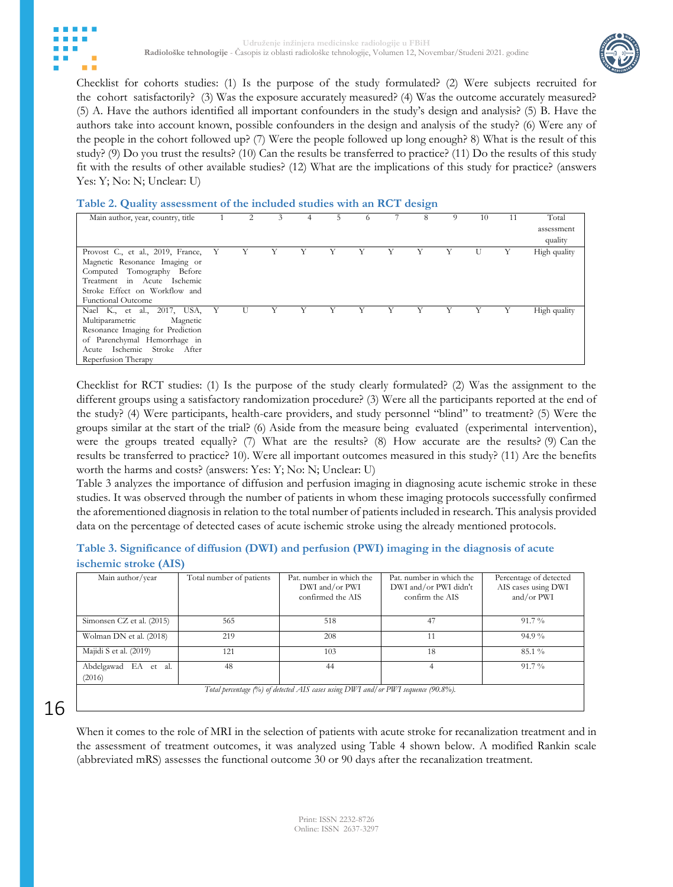



Checklist for cohorts studies: (1) Is the purpose of the study formulated? (2) Were subjects recruited for the cohort satisfactorily? (3) Was the exposure accurately measured? (4) Was the outcome accurately measured? (5) A. Have the authors identified all important confounders in the study's design and analysis? (5) B. Have the authors take into account known, possible confounders in the design and analysis of the study? (6) Were any of the people in the cohort followed up? (7) Were the people followed up long enough? 8) What is the result of this study? (9) Do you trust the results? (10) Can the results be transferred to practice? (11) Do the results of this study fit with the results of other available studies? (12) What are the implications of this study for practice? (answers Yes: Y; No: N; Unclear: U)

#### **Table 2. Quality assessment of the included studies with an RCT design**

| Main author, year, country, title |              |   | 3 | 4 | 5. |   | 8 | 9 | 10 | 11 | Total        |
|-----------------------------------|--------------|---|---|---|----|---|---|---|----|----|--------------|
|                                   |              |   |   |   |    |   |   |   |    |    | assessment   |
|                                   |              |   |   |   |    |   |   |   |    |    | quality      |
| Provost C., et al., 2019, France, | Y            |   |   |   |    |   |   |   |    |    | High quality |
| Magnetic Resonance Imaging or     |              |   |   |   |    |   |   |   |    |    |              |
| Computed Tomography Before        |              |   |   |   |    |   |   |   |    |    |              |
| Treatment in Acute Ischemic       |              |   |   |   |    |   |   |   |    |    |              |
| Stroke Effect on Workflow and     |              |   |   |   |    |   |   |   |    |    |              |
| <b>Functional Outcome</b>         |              |   |   |   |    |   |   |   |    |    |              |
| Nael K., et al., 2017, USA,       | $\mathbf{Y}$ | U |   |   |    | Y |   | Y | Y  | Y  | High quality |
| Multiparametric<br>Magnetic       |              |   |   |   |    |   |   |   |    |    |              |
| Resonance Imaging for Prediction  |              |   |   |   |    |   |   |   |    |    |              |
| of Parenchymal Hemorrhage in      |              |   |   |   |    |   |   |   |    |    |              |
| Acute Ischemic Stroke After       |              |   |   |   |    |   |   |   |    |    |              |
| Reperfusion Therapy               |              |   |   |   |    |   |   |   |    |    |              |

Checklist for RCT studies: (1) Is the purpose of the study clearly formulated? (2) Was the assignment to the different groups using a satisfactory randomization procedure? (3) Were all the participants reported at the end of the study? (4) Were participants, health-care providers, and study personnel "blind" to treatment? (5) Were the groups similar at the start of the trial? (6) Aside from the measure being evaluated (experimental intervention), were the groups treated equally? (7) What are the results? (8) How accurate are the results? (9) Can the results be transferred to practice? 10). Were all important outcomes measured in this study? (11) Are the benefits worth the harms and costs? (answers: Yes: Y; No: N; Unclear: U)

Table 3 analyzes the importance of diffusion and perfusion imaging in diagnosing acute ischemic stroke in these studies. It was observed through the number of patients in whom these imaging protocols successfully confirmed the aforementioned diagnosis in relation to the total number of patients included in research. This analysis provided data on the percentage of detected cases of acute ischemic stroke using the already mentioned protocols.

### **Table 3. Significance of diffusion (DWI) and perfusion (PWI) imaging in the diagnosis of acute ischemic stroke (AIS)**

| Main author/year                      | Total number of patients | Pat, number in which the<br>DWI and/or PWI<br>confirmed the AIS                   | Pat, number in which the<br>DWI and/or PWI didn't<br>confirm the AIS | Percentage of detected<br>AIS cases using DWI<br>and/or PWI |
|---------------------------------------|--------------------------|-----------------------------------------------------------------------------------|----------------------------------------------------------------------|-------------------------------------------------------------|
| Simonsen CZ et al. (2015)             | 565                      | 518                                                                               | 47                                                                   | $91.7\%$                                                    |
| Wolman DN et al. (2018)               | 219                      | 208                                                                               | 11                                                                   | $94.9\%$                                                    |
| Majidi S et al. (2019)                | 121                      | 103                                                                               | 18                                                                   | 85.1 %                                                      |
| Abdelgawad<br>EA et<br>-al.<br>(2016) | 48                       | 44                                                                                | 4                                                                    | $91.7\%$                                                    |
|                                       |                          | Total percentage (%) of detected AIS cases using DWI and/or PWI sequence (90.8%). |                                                                      |                                                             |

# 16

When it comes to the role of MRI in the selection of patients with acute stroke for recanalization treatment and in the assessment of treatment outcomes, it was analyzed using Table 4 shown below. A modified Rankin scale (abbreviated mRS) assesses the functional outcome 30 or 90 days after the recanalization treatment.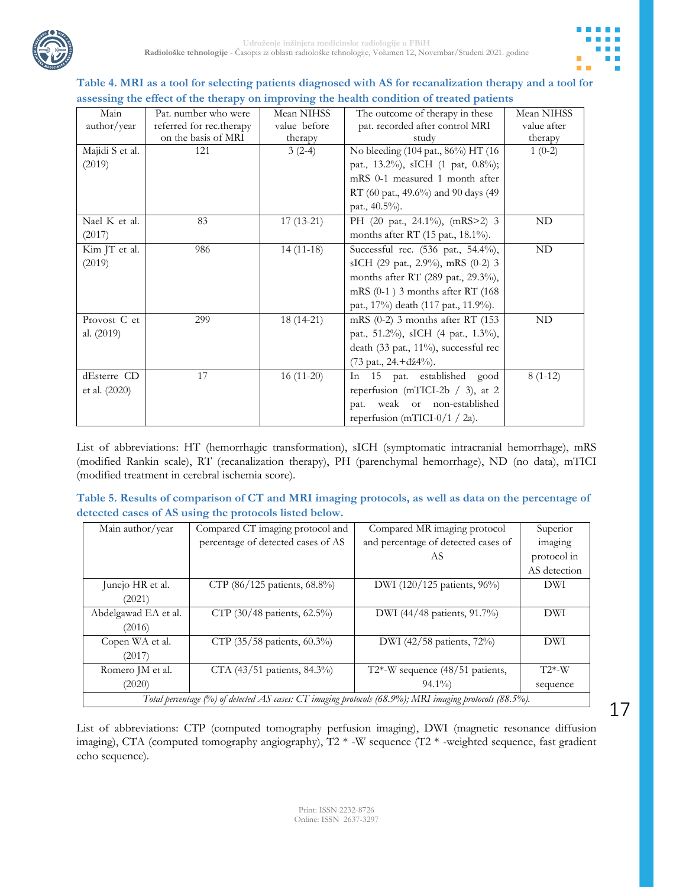

## **Table 4. MRI as a tool for selecting patients diagnosed with AS for recanalization therapy and a tool for assessing the effect of the therapy on improving the health condition of treated patients**

| Pat. number who were     | Mean NIHSS   | The outcome of therapy in these      | Mean NIHSS                         |
|--------------------------|--------------|--------------------------------------|------------------------------------|
| referred for rec.therapy | value before | pat. recorded after control MRI      | value after                        |
| on the basis of MRI      | therapy      | study                                | therapy                            |
| 121                      | $3(2-4)$     |                                      | $1(0-2)$                           |
|                          |              | pat., 13.2%), sICH (1 pat, 0.8%);    |                                    |
|                          |              | mRS 0-1 measured 1 month after       |                                    |
|                          |              | RT (60 pat., 49.6%) and 90 days (49  |                                    |
|                          |              | pat., 40.5%).                        |                                    |
| 83                       | $17(13-21)$  | PH (20 pat., 24.1%), (mRS>2) 3       | ND                                 |
|                          |              | months after RT (15 pat., 18.1%).    |                                    |
| 986                      | $14(11-18)$  | Successful rec. (536 pat., 54.4%),   | $\rm ND$                           |
|                          |              | sICH (29 pat., 2.9%), mRS (0-2) 3    |                                    |
|                          |              | months after RT (289 pat., 29.3%),   |                                    |
|                          |              | mRS (0-1) 3 months after RT (168)    |                                    |
|                          |              | pat., 17%) death (117 pat., 11.9%).  |                                    |
| 299                      | $18(14-21)$  | mRS (0-2) 3 months after RT (153     | $\rm ND$                           |
|                          |              | pat., 51.2%), sICH (4 pat., 1.3%),   |                                    |
|                          |              | death (33 pat., 11%), successful rec |                                    |
|                          |              | (73 pat., 24.+dž4%).                 |                                    |
| 17                       | $16(11-20)$  | In 15 pat. established good          | $8(1-12)$                          |
|                          |              | reperfusion (mTICI-2b $/$ 3), at 2   |                                    |
|                          |              | weak or non-established<br>pat.      |                                    |
|                          |              | reperfusion (mTICI-0/1 / 2a).        |                                    |
|                          |              |                                      | No bleeding (104 pat., 86%) HT (16 |

List of abbreviations: HT (hemorrhagic transformation), sICH (symptomatic intracranial hemorrhage), mRS (modified Rankin scale), RT (recanalization therapy), PH (parenchymal hemorrhage), ND (no data), mTICI (modified treatment in cerebral ischemia score).

| Table 5. Results of comparison of CT and MRI imaging protocols, as well as data on the percentage of |  |
|------------------------------------------------------------------------------------------------------|--|
| detected cases of AS using the protocols listed below.                                               |  |

| Main author/year                                                                                        | Compared CT imaging protocol and   | Compared MR imaging protocol        | Superior     |  |  |  |
|---------------------------------------------------------------------------------------------------------|------------------------------------|-------------------------------------|--------------|--|--|--|
|                                                                                                         | percentage of detected cases of AS | and percentage of detected cases of | imaging      |  |  |  |
|                                                                                                         |                                    | AS                                  | protocol in  |  |  |  |
|                                                                                                         |                                    |                                     | AS detection |  |  |  |
| Junejo HR et al.                                                                                        | CTP (86/125 patients, 68.8%)       | DWI (120/125 patients, 96%)         | DWI          |  |  |  |
| (2021)                                                                                                  |                                    |                                     |              |  |  |  |
| Abdelgawad EA et al.                                                                                    | CTP (30/48 patients, 62.5%)        | DWI (44/48 patients, 91.7%)         | DWI          |  |  |  |
| (2016)                                                                                                  |                                    |                                     |              |  |  |  |
| Copen WA et al.                                                                                         | CTP (35/58 patients, 60.3%)        | DWI (42/58 patients, 72%)           | DWI          |  |  |  |
| (2017)                                                                                                  |                                    |                                     |              |  |  |  |
| Romero JM et al.                                                                                        | CTA (43/51 patients, 84.3%)        | T2*-W sequence $(48/51$ patients,   | $T2$ *-W     |  |  |  |
| (2020)                                                                                                  |                                    | $94.1\%$                            | sequence     |  |  |  |
| Total percentage (%) of detected AS cases: CT imaging protocols (68.9%); MRI imaging protocols (88.5%). |                                    |                                     |              |  |  |  |

List of abbreviations: CTP (computed tomography perfusion imaging), DWI (magnetic resonance diffusion imaging), CTA (computed tomography angiography), T2 \* -W sequence (T2 \* -weighted sequence, fast gradient echo sequence).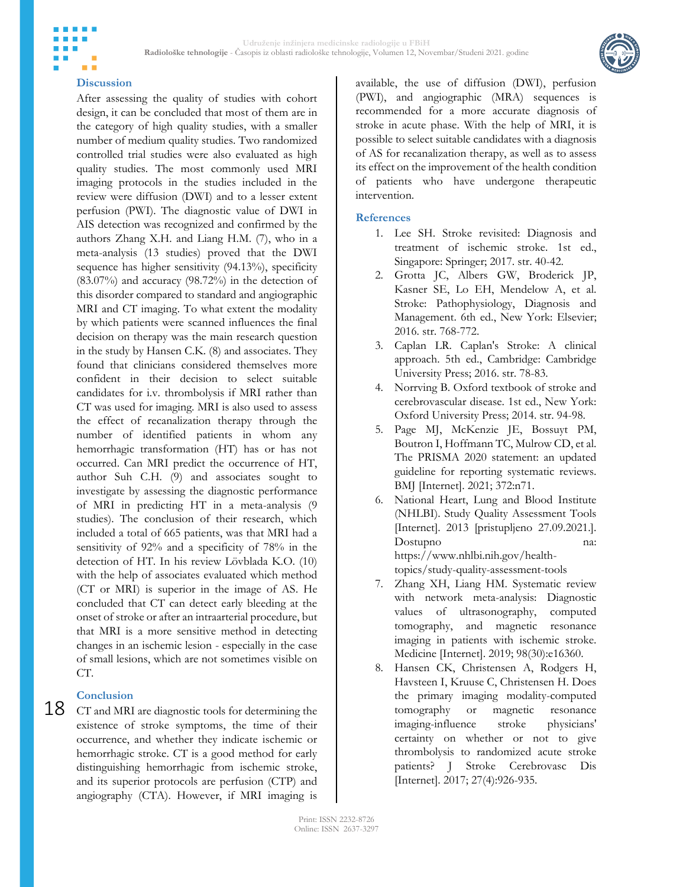

## **Discussion**

m m

After assessing the quality of studies with cohort design, it can be concluded that most of them are in the category of high quality studies, with a smaller number of medium quality studies. Two randomized controlled trial studies were also evaluated as high quality studies. The most commonly used MRI imaging protocols in the studies included in the review were diffusion (DWI) and to a lesser extent perfusion (PWI). The diagnostic value of DWI in AIS detection was recognized and confirmed by the authors Zhang X.H. and Liang H.M. (7), who in a meta-analysis (13 studies) proved that the DWI sequence has higher sensitivity (94.13%), specificity (83.07%) and accuracy (98.72%) in the detection of this disorder compared to standard and angiographic MRI and CT imaging. To what extent the modality by which patients were scanned influences the final decision on therapy was the main research question in the study by Hansen C.K. (8) and associates. They found that clinicians considered themselves more confident in their decision to select suitable candidates for i.v. thrombolysis if MRI rather than CT was used for imaging. MRI is also used to assess the effect of recanalization therapy through the number of identified patients in whom any hemorrhagic transformation (HT) has or has not occurred. Can MRI predict the occurrence of HT, author Suh C.H. (9) and associates sought to investigate by assessing the diagnostic performance of MRI in predicting HT in a meta-analysis (9 studies). The conclusion of their research, which included a total of 665 patients, was that MRI had a sensitivity of 92% and a specificity of 78% in the detection of HT. In his review Lövblada K.O. (10) with the help of associates evaluated which method (CT or MRI) is superior in the image of AS. He concluded that CT can detect early bleeding at the onset of stroke or after an intraarterial procedure, but that MRI is a more sensitive method in detecting changes in an ischemic lesion - especially in the case of small lesions, which are not sometimes visible on CT.

## **Conclusion**

18 CT and MRI are diagnostic tools for determining the existence of stroke symptoms, the time of their occurrence, and whether they indicate ischemic or hemorrhagic stroke. CT is a good method for early distinguishing hemorrhagic from ischemic stroke, and its superior protocols are perfusion (CTP) and angiography (CTA). However, if MRI imaging is

available, the use of diffusion (DWI), perfusion (PWI), and angiographic (MRA) sequences is recommended for a more accurate diagnosis of stroke in acute phase. With the help of MRI, it is possible to select suitable candidates with a diagnosis of AS for recanalization therapy, as well as to assess its effect on the improvement of the health condition of patients who have undergone therapeutic intervention.

## **References**

- 1. Lee SH. Stroke revisited: Diagnosis and treatment of ischemic stroke. 1st ed., Singapore: Springer; 2017. str. 40-42.
- 2. Grotta JC, Albers GW, Broderick JP, Kasner SE, Lo EH, Mendelow A, et al. Stroke: Pathophysiology, Diagnosis and Management. 6th ed., New York: Elsevier; 2016. str. 768-772.
- 3. Caplan LR. Caplan's Stroke: A clinical approach. 5th ed., Cambridge: Cambridge University Press; 2016. str. 78-83.
- 4. Norrving B. Oxford textbook of stroke and cerebrovascular disease. 1st ed., New York: Oxford University Press; 2014. str. 94-98.
- 5. Page MJ, McKenzie JE, Bossuyt PM, Boutron I, Hoffmann TC, Mulrow CD, et al. The PRISMA 2020 statement: an updated guideline for reporting systematic reviews. BMJ [Internet]. 2021; 372:n71.
- 6. National Heart, Lung and Blood Institute (NHLBI). Study Quality Assessment Tools [Internet]. 2013 [pristupljeno 27.09.2021.]. Dostupno na: https://www.nhlbi.nih.gov/healthtopics/study-quality-assessment-tools
- 7. Zhang XH, Liang HM. Systematic review with network meta-analysis: Diagnostic values of ultrasonography, computed tomography, and magnetic resonance imaging in patients with ischemic stroke. Medicine [Internet]. 2019; 98(30):e16360.
- 8. Hansen CK, Christensen A, Rodgers H, Havsteen I, Kruuse C, Christensen H. Does the primary imaging modality-computed tomography or magnetic resonance imaging-influence stroke physicians' certainty on whether or not to give thrombolysis to randomized acute stroke patients? J Stroke Cerebrovasc Dis [Internet]. 2017; 27(4):926-935.